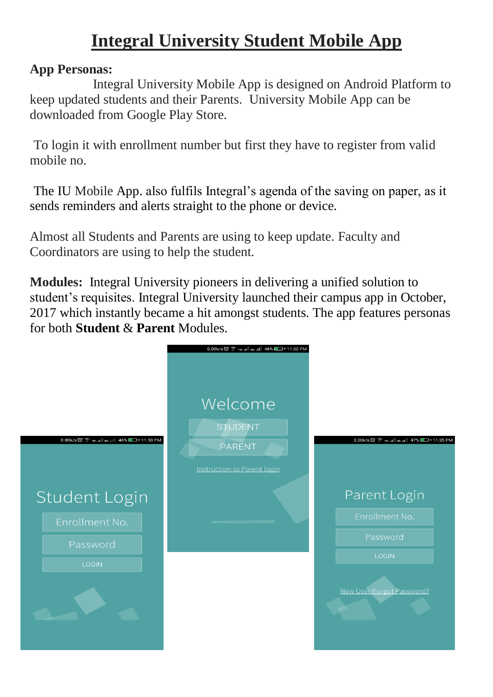## **Integral University Student Mobile App**

## **App Personas:**

Integral University Mobile App is designed on Android Platform to keep updated students and their Parents. University Mobile App can be downloaded from Google Play Store.

To login it with enrollment number but first they have to register from valid mobile no.

The IU Mobile App. also fulfils Integral's agenda of the saving on paper, as it sends reminders and alerts straight to the phone or device.

Almost all Students and Parents are using to keep update. Faculty and Coordinators are using to help the student.

**Modules:** Integral University pioneers in delivering a unified solution to student's requisites. Integral University launched their campus app in October, 2017 which instantly became a hit amongst students. The app features personas for both **Student** & **Parent** Modules.

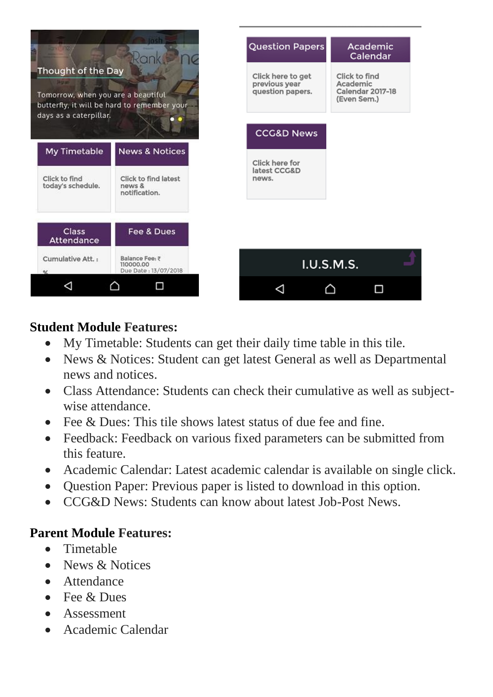

### **Student Module Features:**

- My Timetable: Students can get their daily time table in this tile.
- News & Notices: Student can get latest General as well as Departmental news and notices.
- Class Attendance: Students can check their cumulative as well as subjectwise attendance.
- Fee  $\&$  Dues: This tile shows latest status of due fee and fine.
- Feedback: Feedback on various fixed parameters can be submitted from this feature.
- Academic Calendar: Latest academic calendar is available on single click.
- Question Paper: Previous paper is listed to download in this option.
- CCG&D News: Students can know about latest Job-Post News.

## **Parent Module Features:**

- Timetable
- News & Notices
- Attendance
- $\bullet$  Fee  $\&$  Dues
- Assessment
- Academic Calendar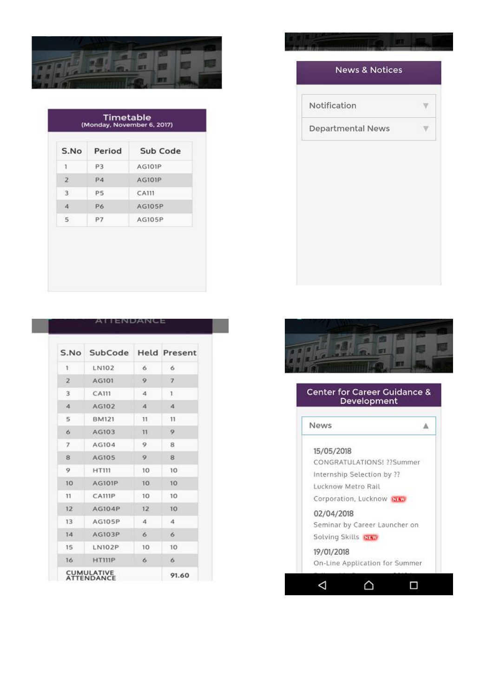

| S.No             | Period    | Sub Code      |
|------------------|-----------|---------------|
| 1                | P3        | <b>AG101P</b> |
| $\overline{2}$   | P4        | <b>AG101P</b> |
| 3                | <b>P5</b> | CA111         |
| $\boldsymbol{A}$ | P6        | AG105P        |
| 5                | P7        | AG105P        |

|  | AILNDANCE |  |
|--|-----------|--|
|  |           |  |

|               |                  | S.No SubCode Held Present |
|---------------|------------------|---------------------------|
| LN102         | 6                | 6                         |
| AG101         | 9                | 7                         |
| <b>CA111</b>  | 4                | 1                         |
| AG102         | $\boldsymbol{A}$ | 4                         |
| <b>BM121</b>  | 11               | 11                        |
| AG103         | 11               | 9                         |
| AG104         | 9                | 8                         |
| AG105         | 9                | 8                         |
| <b>HT111</b>  | 10               | 10                        |
| <b>AG101P</b> | 10               | 10                        |
| <b>CA111P</b> | 10               | 10                        |
| AG104P        | 12               | 10                        |
| <b>AG105P</b> | 4                | 4                         |
| AG103P        | 6                | 6                         |
| <b>LN102P</b> | 10               | 10                        |
| HT111P        | 6                | 6                         |
|               |                  |                           |

# **News & Notices** Notification V. Departmental News V



### Center for Career Guidance & Development

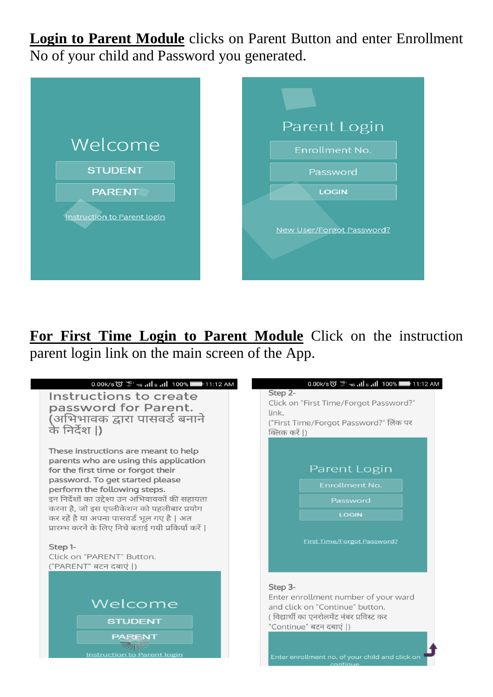**Login to Parent Module** clicks on Parent Button and enter Enrollment No of your child and Password you generated.





**For First Time Login to Parent Module** Click on the instruction parent login link on the main screen of the App.